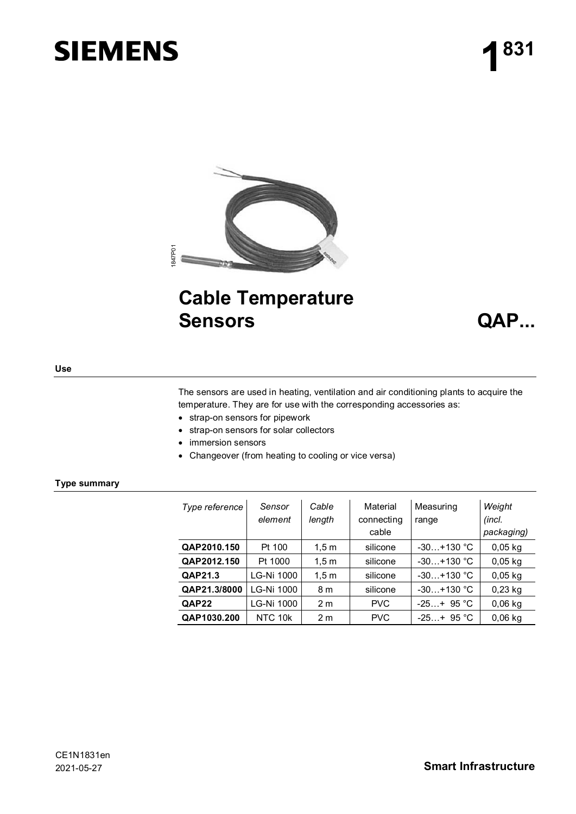# **SIEMENS**



# **Cable Temperature Sensors QAP...**



#### **Use**

The sensors are used in heating, ventilation and air conditioning plants to acquire the temperature. They are for use with the corresponding accessories as:

- strap-on sensors for pipework
- strap-on sensors for solar collectors
- immersion sensors
- Changeover (from heating to cooling or vice versa)

#### **Type summary**

| Type reference | Sensor<br>element | Cable<br>length | Material<br>connecting<br>cable | Measuring<br>range | Weight<br>(incl.<br>packaging) |
|----------------|-------------------|-----------------|---------------------------------|--------------------|--------------------------------|
| QAP2010.150    | Pt 100            | 1,5m            | silicone                        | $-30+130$ °C       | $0,05$ kg                      |
| QAP2012.150    | Pt 1000           | 1,5m            | silicone                        | $-30+130$ °C       | $0,05$ kg                      |
| QAP21.3        | LG-Ni 1000        | 1,5m            | silicone                        | $-30+130$ °C       | $0,05$ kg                      |
| QAP21.3/8000   | LG-Ni 1000        | 8 m             | silicone                        | $-30+130$ °C       | $0,23$ kg                      |
| QAP22          | LG-Ni 1000        | 2 <sub>m</sub>  | <b>PVC</b>                      | $-25+95 °C$        | $0,06$ kg                      |
| QAP1030.200    | NTC 10k           | 2 <sub>m</sub>  | <b>PVC</b>                      | $-25+95$ °C        | $0.06$ kg                      |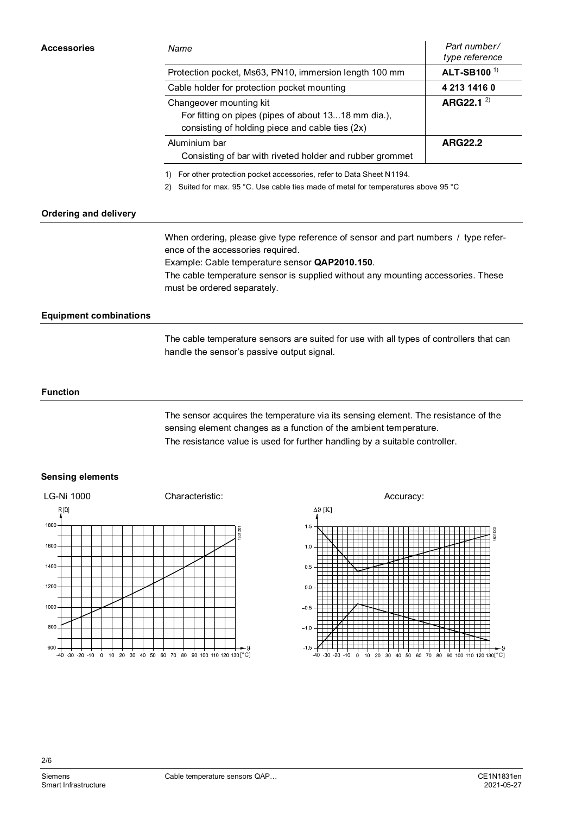| <b>Accessories</b> | Name                                                                                                                                                       | Part number/<br>type reference |  |
|--------------------|------------------------------------------------------------------------------------------------------------------------------------------------------------|--------------------------------|--|
|                    | Protection pocket, Ms63, PN10, immersion length 100 mm                                                                                                     | ALT-SB100 <sup>1)</sup>        |  |
|                    | Cable holder for protection pocket mounting                                                                                                                | 4 213 1416 0                   |  |
|                    | Changeover mounting kit<br>For fitting on pipes (pipes of about 1318 mm dia.),<br>consisting of holding piece and cable ties (2x)                          | ARG22.1 $^{2}$                 |  |
|                    | <b>ARG22.2</b><br>Aluminium bar<br>Consisting of bar with riveted holder and rubber grommet                                                                |                                |  |
|                    | For other protection pocket accessories, refer to Data Sheet N1194.<br>2) Suited for max. 95 °C. Use cable ties made of metal for temperatures above 95 °C |                                |  |

## **Ordering and delivery**

When ordering, please give type reference of sensor and part numbers / type reference of the accessories required.

Example: Cable temperature sensor **QAP2010.150**.

The cable temperature sensor is supplied without any mounting accessories. These must be ordered separately.

# **Equipment combinations**

The cable temperature sensors are suited for use with all types of controllers that can handle the sensor's passive output signal.

#### **Function**

The sensor acquires the temperature via its sensing element. The resistance of the sensing element changes as a function of the ambient temperature. The resistance value is used for further handling by a suitable controller.

## **Sensing elements**



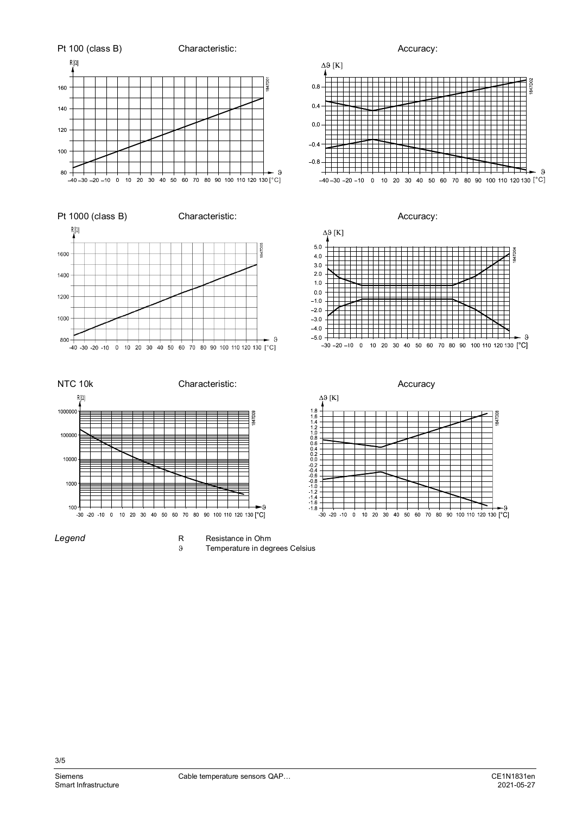

*Legend*

R Resistance in Ohm<br>9 Temperature in deg Temperature in degrees Celsius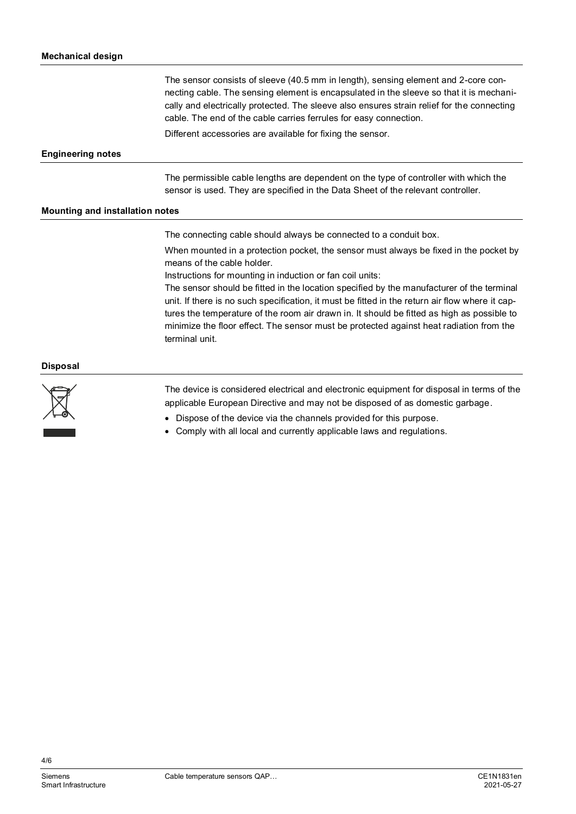The sensor consists of sleeve (40.5 mm in length), sensing element and 2-core connecting cable. The sensing element is encapsulated in the sleeve so that it is mechanically and electrically protected. The sleeve also ensures strain relief for the connecting cable. The end of the cable carries ferrules for easy connection. Different accessories are available for fixing the sensor.

#### **Engineering notes**

The permissible cable lengths are dependent on the type of controller with which the sensor is used. They are specified in the Data Sheet of the relevant controller.

#### **Mounting and installation notes**

The connecting cable should always be connected to a conduit box.

When mounted in a protection pocket, the sensor must always be fixed in the pocket by means of the cable holder.

Instructions for mounting in induction or fan coil units:

The sensor should be fitted in the location specified by the manufacturer of the terminal unit. If there is no such specification, it must be fitted in the return air flow where it captures the temperature of the room air drawn in. It should be fitted as high as possible to minimize the floor effect. The sensor must be protected against heat radiation from the terminal unit.

#### **Disposal**



The device is considered electrical and electronic equipment for disposal in terms of the applicable European Directive and may not be disposed of as domestic garbage.

- Dispose of the device via the channels provided for this purpose.
- Comply with all local and currently applicable laws and regulations.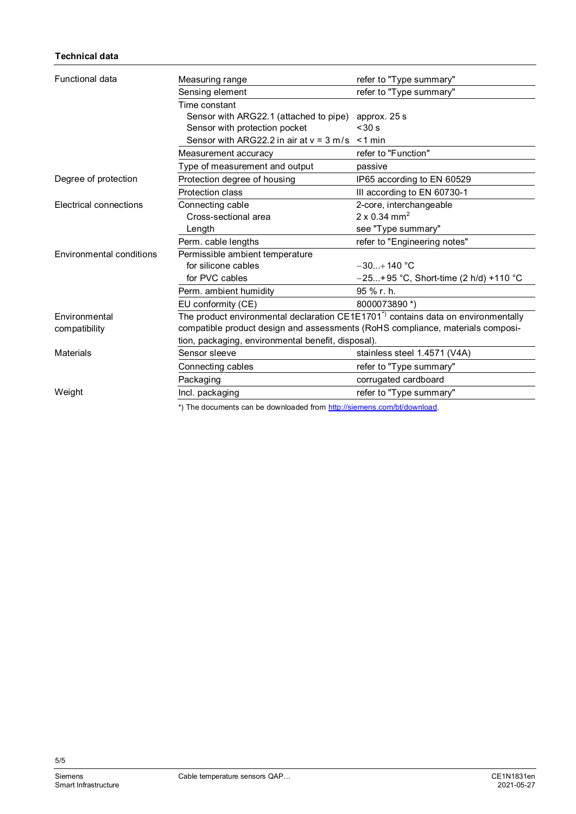# **Technical data**

| <b>Functional data</b>        | Measuring range                                                                               | refer to "Type summary"                 |  |  |
|-------------------------------|-----------------------------------------------------------------------------------------------|-----------------------------------------|--|--|
|                               | Sensing element                                                                               | refer to "Type summary"                 |  |  |
|                               | Time constant                                                                                 |                                         |  |  |
|                               | Sensor with ARG22.1 (attached to pipe)                                                        | approx. 25 s                            |  |  |
|                               | Sensor with protection pocket                                                                 | < 30 s                                  |  |  |
|                               | Sensor with ARG22.2 in air at $v = 3$ m/s $\le 1$ min                                         |                                         |  |  |
|                               | Measurement accuracy                                                                          | refer to "Function"                     |  |  |
|                               | Type of measurement and output                                                                | passive                                 |  |  |
| Degree of protection          | Protection degree of housing                                                                  | IP65 according to EN 60529              |  |  |
|                               | <b>Protection class</b>                                                                       | III according to EN 60730-1             |  |  |
| <b>Electrical connections</b> | Connecting cable                                                                              | 2-core, interchangeable                 |  |  |
|                               | Cross-sectional area                                                                          | $2 \times 0.34$ mm <sup>2</sup>         |  |  |
|                               | Length                                                                                        | see "Type summary"                      |  |  |
|                               | Perm. cable lengths                                                                           | refer to "Engineering notes"            |  |  |
| Environmental conditions      | Permissible ambient temperature                                                               |                                         |  |  |
|                               | for silicone cables                                                                           | $-30+140$ °C                            |  |  |
|                               | for PVC cables                                                                                | $-25+95$ °C, Short-time (2 h/d) +110 °C |  |  |
|                               | Perm. ambient humidity                                                                        | 95 % r. h.                              |  |  |
|                               | EU conformity (CE)                                                                            | 8000073890 *)                           |  |  |
| Environmental                 | The product environmental declaration CE1E1701 <sup>*)</sup> contains data on environmentally |                                         |  |  |
| compatibility                 | compatible product design and assessments (RoHS compliance, materials composi-                |                                         |  |  |
|                               | tion, packaging, environmental benefit, disposal).                                            |                                         |  |  |
| <b>Materials</b>              | Sensor sleeve                                                                                 | stainless steel 1.4571 (V4A)            |  |  |
|                               | Connecting cables                                                                             | refer to "Type summary"                 |  |  |
|                               | Packaging                                                                                     | corrugated cardboard                    |  |  |
| Weight                        | Incl. packaging                                                                               | refer to "Type summary"                 |  |  |
|                               | *) The documents can be downloaded from http://siemens.com/bt/download.                       |                                         |  |  |